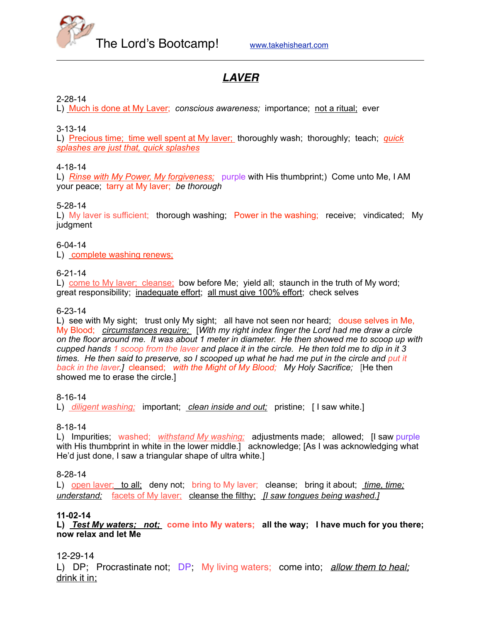

# *LAVER*

#### 2-28-14

L) Much is done at My Laver; *conscious awareness;* importance; not a ritual; ever

#### 3-13-14

L) Precious time; time well spent at My laver; thoroughly wash; thoroughly; teach; *quick splashes are just that, quick splashes*

#### 4-18-14

L) *Rinse with My Power, My forgiveness;* purple with His thumbprint;) Come unto Me, I AM your peace; tarry at My laver; *be thorough*

#### 5-28-14

L) My laver is sufficient; thorough washing; Power in the washing; receive; vindicated; My judgment

#### 6-04-14

L) complete washing renews;

#### 6-21-14

L) come to My laver; cleanse; bow before Me; yield all; staunch in the truth of My word; great responsibility; inadequate effort; all must give 100% effort; check selves

#### 6-23-14

L) see with My sight; trust only My sight; all have not seen nor heard; douse selves in Me, My Blood; *circumstances require;* [*With my right index finger the Lord had me draw a circle on the floor around me. It was about 1 meter in diameter. He then showed me to scoop up with cupped hands 1 scoop from the laver and place it in the circle. He then told me to dip in it 3 times. He then said to preserve, so I scooped up what he had me put in the circle and put it back in the laver.]* cleansed; *with the Might of My Blood; My Holy Sacrifice;* [He then showed me to erase the circle.]

#### 8-16-14

L) *diligent washing;* important; *clean inside and out;* pristine; [ I saw white.]

#### 8-18-14

L) Impurities; washed; *withstand My washing;* adjustments made; allowed; [I saw purple with His thumbprint in white in the lower middle.] acknowledge; [As I was acknowledging what He'd just done, I saw a triangular shape of ultra white.]

#### 8-28-14

L) open laver; to all; deny not; bring to My laver; cleanse; bring it about; *time, time; understand;* facets of My laver; cleanse the filthy;  *[I saw tongues being washed.]*

#### **11-02-14**

**L)** *Test My waters; not;* **come into My waters; all the way; I have much for you there; now relax and let Me** 

#### 12-29-14

L) DP; Procrastinate not; DP; My living waters; come into; *allow them to heal;* drink it in;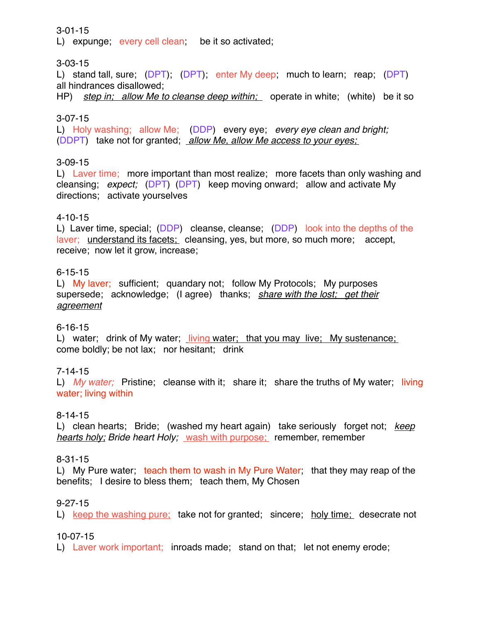#### 3-01-15

L) expunge; every cell clean; be it so activated;

# 3-03-15

L) stand tall, sure; (DPT); (DPT); enter My deep; much to learn; reap; (DPT) all hindrances disallowed;

HP) *step in; allow Me to cleanse deep within;* operate in white; (white) be it so

#### 3-07-15

L) Holy washing; allow Me; (DDP) every eye; *every eye clean and bright;* (DDPT) take not for granted; *allow Me, allow Me access to your eyes;* 

### 3-09-15

L) Laver time; more important than most realize; more facets than only washing and cleansing; *expect;* (DPT) (DPT) keep moving onward; allow and activate My directions; activate yourselves

#### 4-10-15

L) Laver time, special; (DDP) cleanse, cleanse; (DDP) look into the depths of the laver; understand its facets; cleansing, yes, but more, so much more; accept, receive; now let it grow, increase;

### 6-15-15

L) My laver; sufficient; quandary not; follow My Protocols; My purposes supersede; acknowledge; (I agree) thanks; *share with the lost; get their agreement*

### 6-16-15

L) water; drink of My water; living water; that you may live; My sustenance; come boldly; be not lax; nor hesitant; drink

### 7-14-15

L) *My water;* Pristine; cleanse with it; share it; share the truths of My water; living water; living within

#### 8-14-15

L) clean hearts; Bride; (washed my heart again) take seriously forget not; *keep hearts holy; Bride heart Holy;* wash with purpose; remember, remember

#### 8-31-15

L) My Pure water; teach them to wash in My Pure Water; that they may reap of the benefits; I desire to bless them; teach them, My Chosen

### 9-27-15

L) keep the washing pure; take not for granted; sincere; holy time; desecrate not

#### 10-07-15

L) Laver work important; inroads made; stand on that; let not enemy erode;